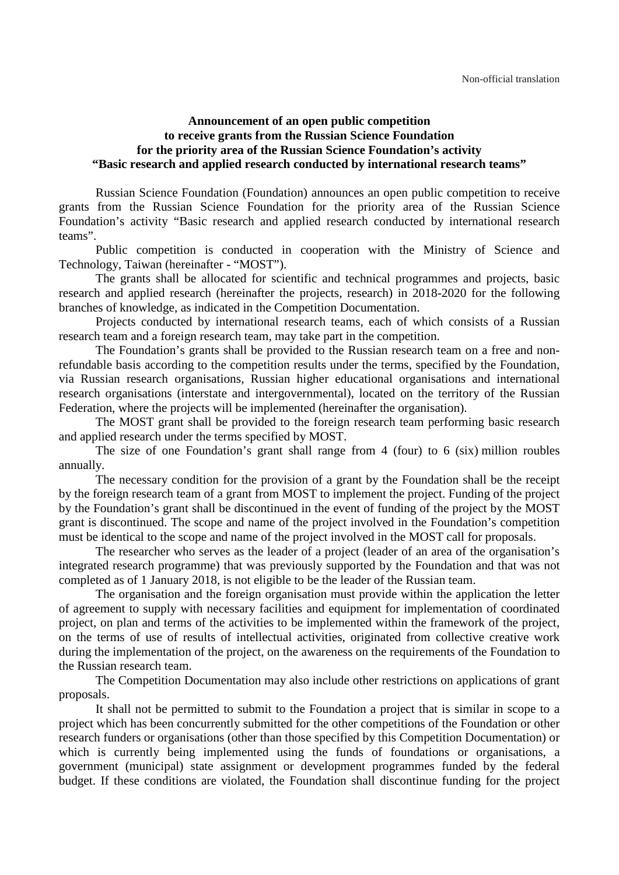## **Announcement of an open public competition to receive grants from the Russian Science Foundation for the priority area of the Russian Science Foundation's activity "Basic research and applied research conducted by international research teams"**

Russian Science Foundation (Foundation) announces an open public competition to receive grants from the Russian Science Foundation for the priority area of the Russian Science Foundation's activity "Basic research and applied research conducted by international research teams".

Public competition is conducted in cooperation with the Ministry of Science and Technology, Taiwan (hereinafter - "MOST").

The grants shall be allocated for scientific and technical programmes and projects, basic research and applied research (hereinafter the projects, research) in 2018-2020 for the following branches of knowledge, as indicated in the Competition Documentation.

Projects conducted by international research teams, each of which consists of a Russian research team and a foreign research team, may take part in the competition.

The Foundation's grants shall be provided to the Russian research team on a free and nonrefundable basis according to the competition results under the terms, specified by the Foundation, via Russian research organisations, Russian higher educational organisations and international research organisations (interstate and intergovernmental), located on the territory of the Russian Federation, where the projects will be implemented (hereinafter the organisation).

The MOST grant shall be provided to the foreign research team performing basic research and applied research under the terms specified by MOST.

The size of one Foundation's grant shall range from 4 (four) to 6 (six) million roubles annually.

The necessary condition for the provision of a grant by the Foundation shall be the receipt by the foreign research team of a grant from MOST to implement the project. Funding of the project by the Foundation's grant shall be discontinued in the event of funding of the project by the MOST grant is discontinued. The scope and name of the project involved in the Foundation's competition must be identical to the scope and name of the project involved in the MOST call for proposals.

The researcher who serves as the leader of a project (leader of an area of the organisation's integrated research programme) that was previously supported by the Foundation and that was not completed as of 1 January 2018, is not eligible to be the leader of the Russian team.

The organisation and the foreign organisation must provide within the application the letter of agreement to supply with necessary facilities and equipment for implementation of coordinated project, on plan and terms of the activities to be implemented within the framework of the project, on the terms of use of results of intellectual activities, originated from collective creative work during the implementation of the project, on the awareness on the requirements of the Foundation to the Russian research team.

The Competition Documentation may also include other restrictions on applications of grant proposals.

It shall not be permitted to submit to the Foundation a project that is similar in scope to a project which has been concurrently submitted for the other competitions of the Foundation or other research funders or organisations (other than those specified by this Competition Documentation) or which is currently being implemented using the funds of foundations or organisations, a government (municipal) state assignment or development programmes funded by the federal budget. If these conditions are violated, the Foundation shall discontinue funding for the project